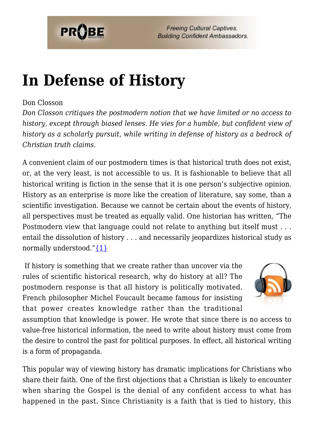

# **[In Defense of History](https://probe.org/in-defense-of-history/)**

#### Don Closson

*Don Closson critiques the postmodern notion that we have limited or no access to history, except through biased lenses. He vies for a humble, but confident view of history as a scholarly pursuit, while writing in defense of history as a bedrock of Christian truth claims.*

A convenient claim of our postmodern times is that historical truth does not exist, or, at the very least, is not accessible to us. It is fashionable to believe that all historical writing is fiction in the sense that it is one person's subjective opinion. History as an enterprise is more like the creation of literature, say some, than a scientific investigation. Because we cannot be certain about the events of history, all perspectives must be treated as equally valid. One historian has written, "The Postmodern view that language could not relate to anything but itself must . . . entail the dissolution of history . . . and necessarily jeopardizes historical study as normally understood." $\{1\}$ 

 If history is something that we create rather than uncover via the rules of scientific historical research, why do history at all? The postmodern response is that all history is politically motivated. French philosopher Michel Foucault became famous for insisting that power creates knowledge rather than the traditional



assumption that knowledge is power. He wrote that since there is no access to value-free historical information, the need to write about history must come from the desire to control the past for political purposes. In effect, all historical writing is a form of propaganda.

This popular way of viewing history has dramatic implications for Christians who share their faith. One of the first objections that a Christian is likely to encounter when sharing the Gospel is the denial of any confident access to what has happened in the past. Since Christianity is a faith that is tied to history, this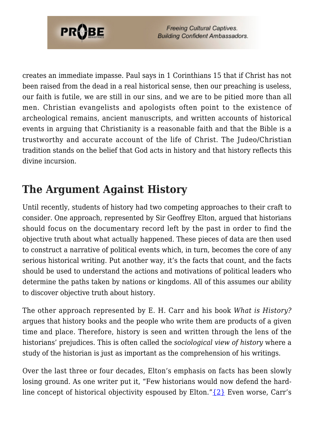

creates an immediate impasse. Paul says in 1 Corinthians 15 that if Christ has not been raised from the dead in a real historical sense, then our preaching is useless, our faith is futile, we are still in our sins, and we are to be pitied more than all men. Christian evangelists and apologists often point to the existence of archeological remains, ancient manuscripts, and written accounts of historical events in arguing that Christianity is a reasonable faith and that the Bible is a trustworthy and accurate account of the life of Christ. The Judeo/Christian tradition stands on the belief that God acts in history and that history reflects this divine incursion.

#### **The Argument Against History**

Until recently, students of history had two competing approaches to their craft to consider. One approach, represented by Sir Geoffrey Elton, argued that historians should focus on the documentary record left by the past in order to find the objective truth about what actually happened. These pieces of data are then used to construct a narrative of political events which, in turn, becomes the core of any serious historical writing. Put another way, it's the facts that count, and the facts should be used to understand the actions and motivations of political leaders who determine the paths taken by nations or kingdoms. All of this assumes our ability to discover objective truth about history.

The other approach represented by E. H. Carr and his book *What is History?* argues that history books and the people who write them are products of a given time and place. Therefore, history is seen and written through the lens of the historians' prejudices. This is often called the *sociological view of history* where a study of the historian is just as important as the comprehension of his writings.

Over the last three or four decades, Elton's emphasis on facts has been slowly losing ground. As one writer put it, "Few historians would now defend the hardline concept of historical objectivity espoused by Elton." $\{2\}$  Even worse, Carr's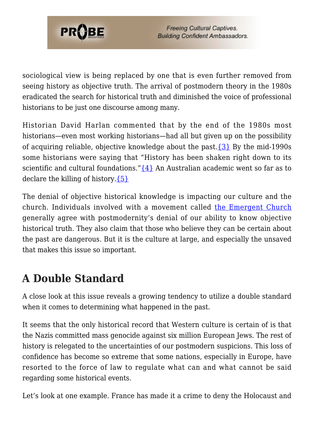

sociological view is being replaced by one that is even further removed from seeing history as objective truth. The arrival of postmodern theory in the 1980s eradicated the search for historical truth and diminished the voice of professional historians to be just one discourse among many.

Historian David Harlan commented that by the end of the 1980s most historians—even most working historians—had all but given up on the possibility of acquiring reliable, objective knowledge about the past.[{3}](#page-6-2) By the mid-1990s some historians were saying that "History has been shaken right down to its scientific and cultural foundations." $\{4\}$  An Australian academic went so far as to declare the killing of history. $\{5\}$ 

The denial of objective historical knowledge is impacting our culture and the church. Individuals involved with a movement called [the Emergent Church](https://www.probe.org/the-emerging-church/) generally agree with postmodernity's denial of our ability to know objective historical truth. They also claim that those who believe they can be certain about the past are dangerous. But it is the culture at large, and especially the unsaved that makes this issue so important.

### **A Double Standard**

A close look at this issue reveals a growing tendency to utilize a double standard when it comes to determining what happened in the past.

It seems that the only historical record that Western culture is certain of is that the Nazis committed mass genocide against six million European Jews. The rest of history is relegated to the uncertainties of our postmodern suspicions. This loss of confidence has become so extreme that some nations, especially in Europe, have resorted to the force of law to regulate what can and what cannot be said regarding some historical events.

Let's look at one example. France has made it a crime to deny the Holocaust and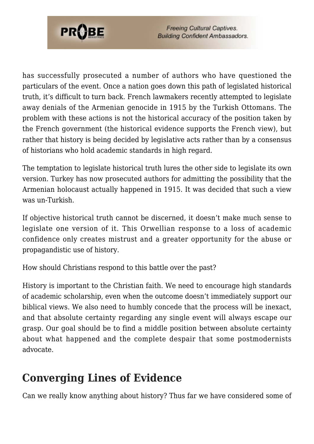

has successfully prosecuted a number of authors who have questioned the particulars of the event. Once a nation goes down this path of legislated historical truth, it's difficult to turn back. French lawmakers recently attempted to legislate away denials of the Armenian genocide in 1915 by the Turkish Ottomans. The problem with these actions is not the historical accuracy of the position taken by the French government (the historical evidence supports the French view), but rather that history is being decided by legislative acts rather than by a consensus of historians who hold academic standards in high regard.

The temptation to legislate historical truth lures the other side to legislate its own version. Turkey has now prosecuted authors for admitting the possibility that the Armenian holocaust actually happened in 1915. It was decided that such a view was un-Turkish.

If objective historical truth cannot be discerned, it doesn't make much sense to legislate one version of it. This Orwellian response to a loss of academic confidence only creates mistrust and a greater opportunity for the abuse or propagandistic use of history.

How should Christians respond to this battle over the past?

History is important to the Christian faith. We need to encourage high standards of academic scholarship, even when the outcome doesn't immediately support our biblical views. We also need to humbly concede that the process will be inexact, and that absolute certainty regarding any single event will always escape our grasp. Our goal should be to find a middle position between absolute certainty about what happened and the complete despair that some postmodernists advocate.

### **Converging Lines of Evidence**

Can we really know anything about history? Thus far we have considered some of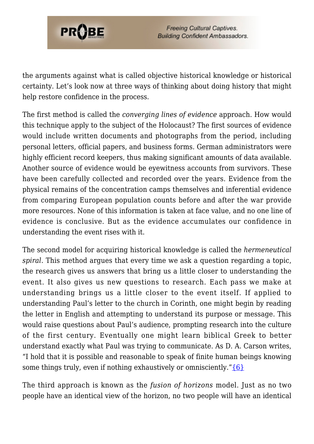

the arguments against what is called objective historical knowledge or historical certainty. Let's look now at three ways of thinking about doing history that might help restore confidence in the process.

The first method is called the *converging lines of evidence* approach. How would this technique apply to the subject of the Holocaust? The first sources of evidence would include written documents and photographs from the period, including personal letters, official papers, and business forms. German administrators were highly efficient record keepers, thus making significant amounts of data available. Another source of evidence would be eyewitness accounts from survivors. These have been carefully collected and recorded over the years. Evidence from the physical remains of the concentration camps themselves and inferential evidence from comparing European population counts before and after the war provide more resources. None of this information is taken at face value, and no one line of evidence is conclusive. But as the evidence accumulates our confidence in understanding the event rises with it.

The second model for acquiring historical knowledge is called the *hermeneutical spiral*. This method argues that every time we ask a question regarding a topic, the research gives us answers that bring us a little closer to understanding the event. It also gives us new questions to research. Each pass we make at understanding brings us a little closer to the event itself. If applied to understanding Paul's letter to the church in Corinth, one might begin by reading the letter in English and attempting to understand its purpose or message. This would raise questions about Paul's audience, prompting research into the culture of the first century. Eventually one might learn biblical Greek to better understand exactly what Paul was trying to communicate. As D. A. Carson writes, "I hold that it is possible and reasonable to speak of finite human beings knowing some things truly, even if nothing exhaustively or omnisciently." ${6}$ 

The third approach is known as the *fusion of horizons* model. Just as no two people have an identical view of the horizon, no two people will have an identical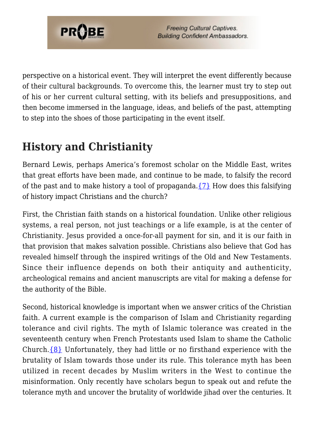

perspective on a historical event. They will interpret the event differently because of their cultural backgrounds. To overcome this, the learner must try to step out of his or her current cultural setting, with its beliefs and presuppositions, and then become immersed in the language, ideas, and beliefs of the past, attempting to step into the shoes of those participating in the event itself.

## **History and Christianity**

Bernard Lewis, perhaps America's foremost scholar on the Middle East, writes that great efforts have been made, and continue to be made, to falsify the record of the past and to make history a tool of propaganda. $\{7\}$  How does this falsifying of history impact Christians and the church?

First, the Christian faith stands on a historical foundation. Unlike other religious systems, a real person, not just teachings or a life example, is at the center of Christianity. Jesus provided a once-for-all payment for sin, and it is our faith in that provision that makes salvation possible. Christians also believe that God has revealed himself through the inspired writings of the Old and New Testaments. Since their influence depends on both their antiquity and authenticity, archeological remains and ancient manuscripts are vital for making a defense for the authority of the Bible.

Second, historical knowledge is important when we answer critics of the Christian faith. A current example is the comparison of Islam and Christianity regarding tolerance and civil rights. The myth of Islamic tolerance was created in the seventeenth century when French Protestants used Islam to shame the Catholic Church.[{8}](#page-6-7) Unfortunately, they had little or no firsthand experience with the brutality of Islam towards those under its rule. This tolerance myth has been utilized in recent decades by Muslim writers in the West to continue the misinformation. Only recently have scholars begun to speak out and refute the tolerance myth and uncover the brutality of worldwide jihad over the centuries. It